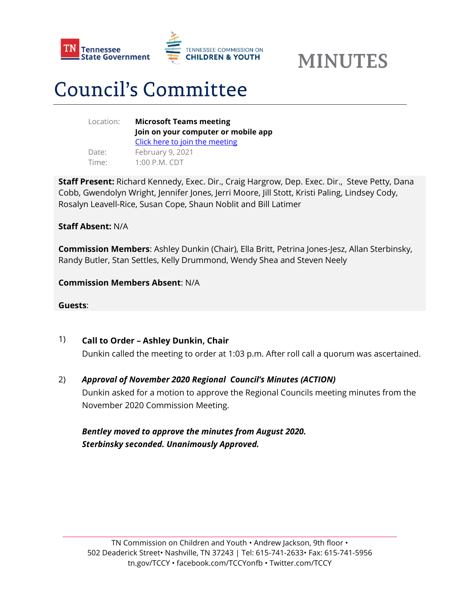



# **Council's Committee**

| Location: | <b>Microsoft Teams meeting</b>      |
|-----------|-------------------------------------|
|           | Join on your computer or mobile app |
|           | Click here to join the meeting      |
| Date:     | February 9, 2021                    |
| Time:     | $1:00$ P.M. CDT                     |

**Staff Present:** Richard Kennedy, Exec. Dir., Craig Hargrow, Dep. Exec. Dir., Steve Petty, Dana Cobb, Gwendolyn Wright, Jennifer Jones, Jerri Moore, Jill Stott, Kristi Paling, Lindsey Cody, Rosalyn Leavell-Rice, Susan Cope, Shaun Noblit and Bill Latimer

#### **Staff Absent:** N/A

**Commission Members**: Ashley Dunkin (Chair), Ella Britt, Petrina Jones-Jesz, Allan Sterbinsky, Randy Butler, Stan Settles, Kelly Drummond, Wendy Shea and Steven Neely

**Commission Members Absent**: N/A

**Guests**:

# 1) **Call to Order – Ashley Dunkin, Chair**

Dunkin called the meeting to order at 1:03 p.m. After roll call a quorum was ascertained.

2) *Approval of November 2020 Regional Council's Minutes (ACTION)*

Dunkin asked for a motion to approve the Regional Councils meeting minutes from the November 2020 Commission Meeting.

# *Bentley moved to approve the minutes from August 2020. Sterbinsky seconded. Unanimously Approved.*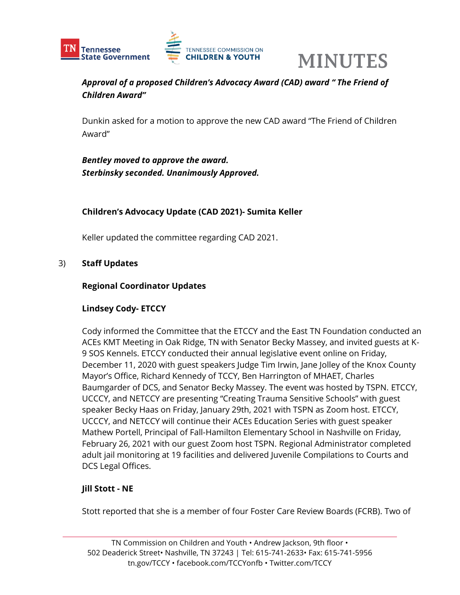



# *Approval of a proposed Children's Advocacy Award (CAD) award " The Friend of Children Award"*

Dunkin asked for a motion to approve the new CAD award "The Friend of Children Award"

*Bentley moved to approve the award. Sterbinsky seconded. Unanimously Approved.*

## **Children's Advocacy Update (CAD 2021)- Sumita Keller**

Keller updated the committee regarding CAD 2021.

#### 3) **Staff Updates**

#### **Regional Coordinator Updates**

#### **Lindsey Cody- ETCCY**

Cody informed the Committee that the ETCCY and the East TN Foundation conducted an ACEs KMT Meeting in Oak Ridge, TN with Senator Becky Massey, and invited guests at K-9 SOS Kennels. ETCCY conducted their annual legislative event online on Friday, December 11, 2020 with guest speakers Judge Tim Irwin, Jane Jolley of the Knox County Mayor's Office, Richard Kennedy of TCCY, Ben Harrington of MHAET, Charles Baumgarder of DCS, and Senator Becky Massey. The event was hosted by TSPN. ETCCY, UCCCY, and NETCCY are presenting "Creating Trauma Sensitive Schools" with guest speaker Becky Haas on Friday, January 29th, 2021 with TSPN as Zoom host. ETCCY, UCCCY, and NETCCY will continue their ACEs Education Series with guest speaker Mathew Portell, Principal of Fall-Hamilton Elementary School in Nashville on Friday, February 26, 2021 with our guest Zoom host TSPN. Regional Administrator completed adult jail monitoring at 19 facilities and delivered Juvenile Compilations to Courts and DCS Legal Offices.

#### **Jill Stott - NE**

Stott reported that she is a member of four Foster Care Review Boards (FCRB). Two of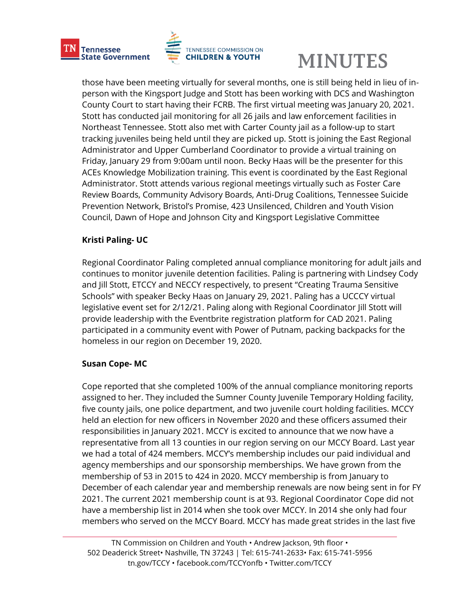

those have been meeting virtually for several months, one is still being held in lieu of inperson with the Kingsport Judge and Stott has been working with DCS and Washington County Court to start having their FCRB. The first virtual meeting was January 20, 2021. Stott has conducted jail monitoring for all 26 jails and law enforcement facilities in Northeast Tennessee. Stott also met with Carter County jail as a follow-up to start tracking juveniles being held until they are picked up. Stott is joining the East Regional Administrator and Upper Cumberland Coordinator to provide a virtual training on Friday, January 29 from 9:00am until noon. Becky Haas will be the presenter for this ACEs Knowledge Mobilization training. This event is coordinated by the East Regional Administrator. Stott attends various regional meetings virtually such as Foster Care Review Boards, Community Advisory Boards, Anti-Drug Coalitions, Tennessee Suicide Prevention Network, Bristol's Promise, 423 Unsilenced, Children and Youth Vision Council, Dawn of Hope and Johnson City and Kingsport Legislative Committee

## **Kristi Paling- UC**

Regional Coordinator Paling completed annual compliance monitoring for adult jails and continues to monitor juvenile detention facilities. Paling is partnering with Lindsey Cody and Jill Stott, ETCCY and NECCY respectively, to present "Creating Trauma Sensitive Schools" with speaker Becky Haas on January 29, 2021. Paling has a UCCCY virtual legislative event set for 2/12/21. Paling along with Regional Coordinator Jill Stott will provide leadership with the Eventbrite registration platform for CAD 2021. Paling participated in a community event with Power of Putnam, packing backpacks for the homeless in our region on December 19, 2020.

## **Susan Cope- MC**

Cope reported that she completed 100% of the annual compliance monitoring reports assigned to her. They included the Sumner County Juvenile Temporary Holding facility, five county jails, one police department, and two juvenile court holding facilities. MCCY held an election for new officers in November 2020 and these officers assumed their responsibilities in January 2021. MCCY is excited to announce that we now have a representative from all 13 counties in our region serving on our MCCY Board. Last year we had a total of 424 members. MCCY's membership includes our paid individual and agency memberships and our sponsorship memberships. We have grown from the membership of 53 in 2015 to 424 in 2020. MCCY membership is from January to December of each calendar year and membership renewals are now being sent in for FY 2021. The current 2021 membership count is at 93. Regional Coordinator Cope did not have a membership list in 2014 when she took over MCCY. In 2014 she only had four members who served on the MCCY Board. MCCY has made great strides in the last five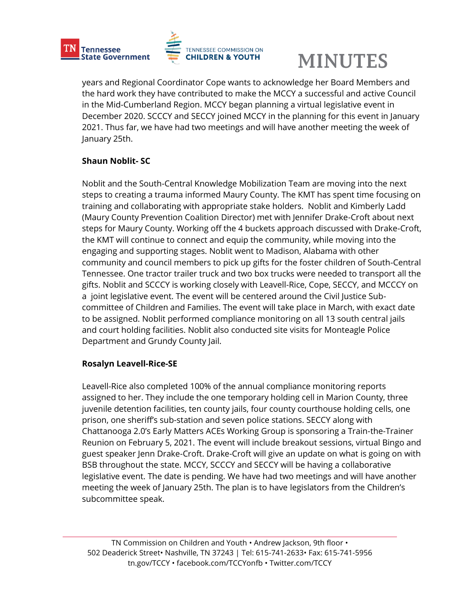

years and Regional Coordinator Cope wants to acknowledge her Board Members and the hard work they have contributed to make the MCCY a successful and active Council in the Mid-Cumberland Region. MCCY began planning a virtual legislative event in December 2020. SCCCY and SECCY joined MCCY in the planning for this event in January 2021. Thus far, we have had two meetings and will have another meeting the week of January 25th.

## **Shaun Noblit- SC**

Noblit and the South-Central Knowledge Mobilization Team are moving into the next steps to creating a trauma informed Maury County. The KMT has spent time focusing on training and collaborating with appropriate stake holders. Noblit and Kimberly Ladd (Maury County Prevention Coalition Director) met with Jennifer Drake-Croft about next steps for Maury County. Working off the 4 buckets approach discussed with Drake-Croft, the KMT will continue to connect and equip the community, while moving into the engaging and supporting stages. Noblit went to Madison, Alabama with other community and council members to pick up gifts for the foster children of South-Central Tennessee. One tractor trailer truck and two box trucks were needed to transport all the gifts. Noblit and SCCCY is working closely with Leavell-Rice, Cope, SECCY, and MCCCY on a joint legislative event. The event will be centered around the Civil Justice Subcommittee of Children and Families. The event will take place in March, with exact date to be assigned. Noblit performed compliance monitoring on all 13 south central jails and court holding facilities. Noblit also conducted site visits for Monteagle Police Department and Grundy County Jail.

## **Rosalyn Leavell-Rice-SE**

Leavell-Rice also completed 100% of the annual compliance monitoring reports assigned to her. They include the one temporary holding cell in Marion County, three juvenile detention facilities, ten county jails, four county courthouse holding cells, one prison, one sheriff's sub-station and seven police stations. SECCY along with Chattanooga 2.0's Early Matters ACEs Working Group is sponsoring a Train-the-Trainer Reunion on February 5, 2021. The event will include breakout sessions, virtual Bingo and guest speaker Jenn Drake-Croft. Drake-Croft will give an update on what is going on with BSB throughout the state. MCCY, SCCCY and SECCY will be having a collaborative legislative event. The date is pending. We have had two meetings and will have another meeting the week of January 25th. The plan is to have legislators from the Children's subcommittee speak.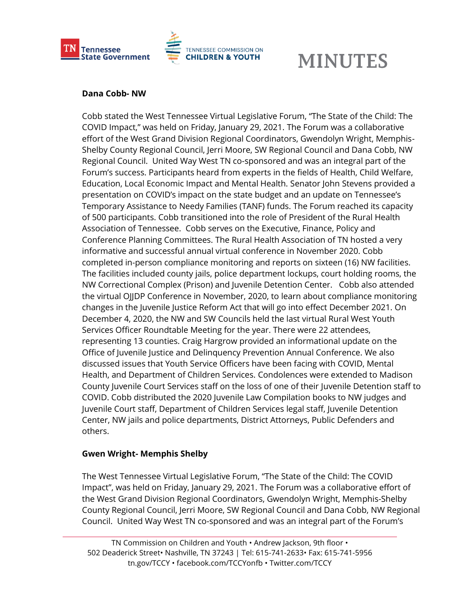

#### **Dana Cobb- NW**

Cobb stated the West Tennessee Virtual Legislative Forum, "The State of the Child: The COVID Impact," was held on Friday, January 29, 2021. The Forum was a collaborative effort of the West Grand Division Regional Coordinators, Gwendolyn Wright, Memphis-Shelby County Regional Council, Jerri Moore, SW Regional Council and Dana Cobb, NW Regional Council. United Way West TN co-sponsored and was an integral part of the Forum's success. Participants heard from experts in the fields of Health, Child Welfare, Education, Local Economic Impact and Mental Health. Senator John Stevens provided a presentation on COVID's impact on the state budget and an update on Tennessee's Temporary Assistance to Needy Families (TANF) funds. The Forum reached its capacity of 500 participants. Cobb transitioned into the role of President of the Rural Health Association of Tennessee. Cobb serves on the Executive, Finance, Policy and Conference Planning Committees. The Rural Health Association of TN hosted a very informative and successful annual virtual conference in November 2020. Cobb completed in-person compliance monitoring and reports on sixteen (16) NW facilities. The facilities included county jails, police department lockups, court holding rooms, the NW Correctional Complex (Prison) and Juvenile Detention Center. Cobb also attended the virtual OJJDP Conference in November, 2020, to learn about compliance monitoring changes in the Juvenile Justice Reform Act that will go into effect December 2021. On December 4, 2020, the NW and SW Councils held the last virtual Rural West Youth Services Officer Roundtable Meeting for the year. There were 22 attendees, representing 13 counties. Craig Hargrow provided an informational update on the Office of Juvenile Justice and Delinquency Prevention Annual Conference. We also discussed issues that Youth Service Officers have been facing with COVID, Mental Health, and Department of Children Services. Condolences were extended to Madison County Juvenile Court Services staff on the loss of one of their Juvenile Detention staff to COVID. Cobb distributed the 2020 Juvenile Law Compilation books to NW judges and Juvenile Court staff, Department of Children Services legal staff, Juvenile Detention Center, NW jails and police departments, District Attorneys, Public Defenders and others.

#### **Gwen Wright- Memphis Shelby**

The West Tennessee Virtual Legislative Forum, "The State of the Child: The COVID Impact", was held on Friday, January 29, 2021. The Forum was a collaborative effort of the West Grand Division Regional Coordinators, Gwendolyn Wright, Memphis-Shelby County Regional Council, Jerri Moore, SW Regional Council and Dana Cobb, NW Regional Council. United Way West TN co-sponsored and was an integral part of the Forum's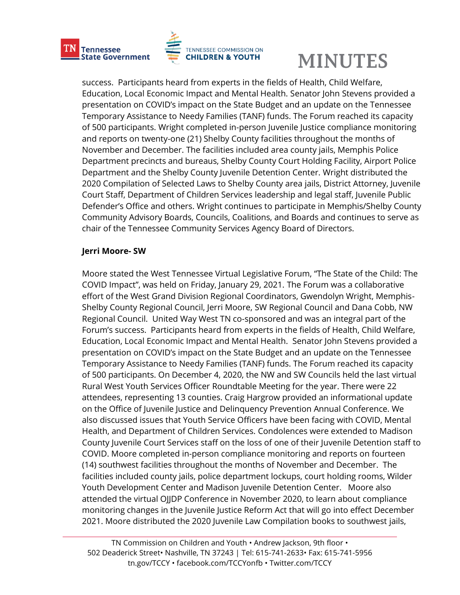

success. Participants heard from experts in the fields of Health, Child Welfare, Education, Local Economic Impact and Mental Health. Senator John Stevens provided a presentation on COVID's impact on the State Budget and an update on the Tennessee Temporary Assistance to Needy Families (TANF) funds. The Forum reached its capacity of 500 participants. Wright completed in-person Juvenile Justice compliance monitoring and reports on twenty-one (21) Shelby County facilities throughout the months of November and December. The facilities included area county jails, Memphis Police Department precincts and bureaus, Shelby County Court Holding Facility, Airport Police Department and the Shelby County Juvenile Detention Center. Wright distributed the 2020 Compilation of Selected Laws to Shelby County area jails, District Attorney, Juvenile Court Staff, Department of Children Services leadership and legal staff, Juvenile Public Defender's Office and others. Wright continues to participate in Memphis/Shelby County Community Advisory Boards, Councils, Coalitions, and Boards and continues to serve as chair of the Tennessee Community Services Agency Board of Directors.

#### **Jerri Moore- SW**

Moore stated the West Tennessee Virtual Legislative Forum, "The State of the Child: The COVID Impact", was held on Friday, January 29, 2021. The Forum was a collaborative effort of the West Grand Division Regional Coordinators, Gwendolyn Wright, Memphis-Shelby County Regional Council, Jerri Moore, SW Regional Council and Dana Cobb, NW Regional Council. United Way West TN co-sponsored and was an integral part of the Forum's success. Participants heard from experts in the fields of Health, Child Welfare, Education, Local Economic Impact and Mental Health. Senator John Stevens provided a presentation on COVID's impact on the State Budget and an update on the Tennessee Temporary Assistance to Needy Families (TANF) funds. The Forum reached its capacity of 500 participants. On December 4, 2020, the NW and SW Councils held the last virtual Rural West Youth Services Officer Roundtable Meeting for the year. There were 22 attendees, representing 13 counties. Craig Hargrow provided an informational update on the Office of Juvenile Justice and Delinquency Prevention Annual Conference. We also discussed issues that Youth Service Officers have been facing with COVID, Mental Health, and Department of Children Services. Condolences were extended to Madison County Juvenile Court Services staff on the loss of one of their Juvenile Detention staff to COVID. Moore completed in-person compliance monitoring and reports on fourteen (14) southwest facilities throughout the months of November and December. The facilities included county jails, police department lockups, court holding rooms, Wilder Youth Development Center and Madison Juvenile Detention Center. Moore also attended the virtual OJJDP Conference in November 2020, to learn about compliance monitoring changes in the Juvenile Justice Reform Act that will go into effect December 2021. Moore distributed the 2020 Juvenile Law Compilation books to southwest jails,